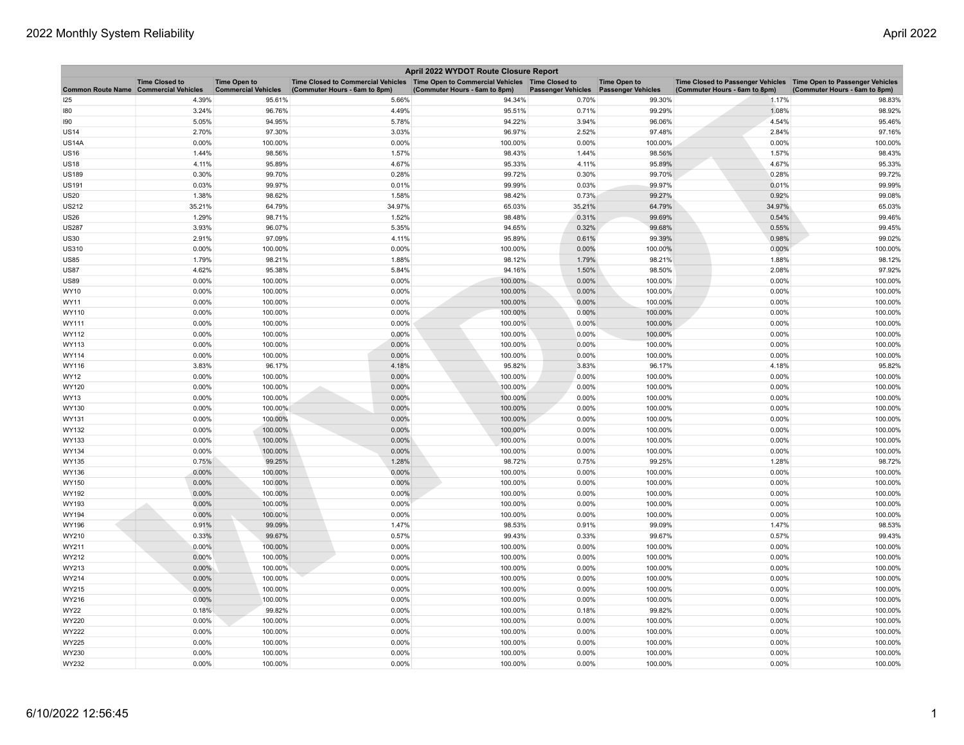| April 2022 WYDOT Route Closure Report |                       |                            |                                                                                        |                               |                           |                           |                                                                     |                               |  |
|---------------------------------------|-----------------------|----------------------------|----------------------------------------------------------------------------------------|-------------------------------|---------------------------|---------------------------|---------------------------------------------------------------------|-------------------------------|--|
|                                       | <b>Time Closed to</b> | <b>Time Open to</b>        | Time Closed to Commercial Vehicles   Time Open to Commercial Vehicles   Time Closed to |                               |                           | <b>Time Open to</b>       | Time Closed to Passenger Vehicles   Time Open to Passenger Vehicles |                               |  |
| Common Route Name Commercial Vehicles |                       | <b>Commercial Vehicles</b> | (Commuter Hours - 6am to 8pm)                                                          | (Commuter Hours - 6am to 8pm) | <b>Passenger Vehicles</b> | <b>Passenger Vehicles</b> | (Commuter Hours - 6am to 8pm)                                       | (Commuter Hours - 6am to 8pm) |  |
| 125                                   | 4.39%                 | 95.61%                     | 5.66%                                                                                  | 94.34%                        | 0.70%                     | 99.30%                    | 1.17%                                                               | 98.83%                        |  |
| 180                                   | 3.24%                 | 96.76%                     | 4.49%                                                                                  | 95.51%                        | 0.71%                     | 99.29%                    | 1.08%                                                               | 98.92%                        |  |
| 190                                   | 5.05%                 | 94.95%                     | 5.78%                                                                                  | 94.22%                        | 3.94%                     | 96.06%                    | 4.54%                                                               | 95.46%                        |  |
| <b>US14</b>                           | 2.70%                 | 97.30%                     | 3.03%                                                                                  | 96.97%                        | 2.52%                     | 97.48%                    | 2.84%                                                               | 97.16%                        |  |
| <b>US14A</b>                          | 0.00%                 | 100.00%                    | 0.00%                                                                                  | 100.00%                       | 0.00%                     | 100.00%                   | 0.00%                                                               | 100.00%                       |  |
| <b>US16</b>                           | 1.44%                 | 98.56%                     | 1.57%                                                                                  | 98.43%                        | 1.44%                     | 98.56%                    | 1.57%                                                               | 98.43%                        |  |
| <b>US18</b>                           | 4.11%                 | 95.89%                     | 4.67%                                                                                  | 95.33%                        | 4.11%                     | 95.89%                    | 4.67%                                                               | 95.33%                        |  |
| <b>US189</b>                          | 0.30%                 | 99.70%                     | 0.28%                                                                                  | 99.72%                        | 0.30%                     | 99.70%                    | 0.28%                                                               | 99.72%                        |  |
| <b>US191</b>                          | 0.03%                 | 99.97%                     | 0.01%                                                                                  | 99.99%                        | 0.03%                     | 99.97%                    | 0.01%                                                               | 99.99%                        |  |
| <b>US20</b>                           | 1.38%                 | 98.62%                     | 1.58%                                                                                  | 98.42%                        | 0.73%                     | 99.27%                    | 0.92%                                                               | 99.08%                        |  |
| <b>US212</b>                          | 35.21%                | 64.79%                     | 34.97%                                                                                 | 65.03%                        | 35.21%                    | 64.79%                    | 34.97%                                                              | 65.03%                        |  |
| <b>US26</b>                           | 1.29%                 | 98.71%                     | 1.52%                                                                                  | 98.48%                        | 0.31%                     | 99.69%                    | 0.54%                                                               | 99.46%                        |  |
| <b>US287</b>                          | 3.93%                 | 96.07%                     | 5.35%                                                                                  | 94.65%                        | 0.32%                     | 99.68%                    | 0.55%                                                               | 99.45%                        |  |
| <b>US30</b>                           | 2.91%                 | 97.09%                     | 4.11%                                                                                  | 95.89%                        | 0.61%                     | 99.39%                    | 0.98%                                                               | 99.02%                        |  |
| <b>US310</b>                          | 0.00%                 | 100.00%                    | 0.00%                                                                                  | 100.00%                       | 0.00%                     | 100.00%                   | 0.00%                                                               | 100.00%                       |  |
| <b>US85</b>                           | 1.79%                 | 98.21%                     | 1.88%                                                                                  | 98.12%                        | 1.79%                     | 98.21%                    | 1.88%                                                               | 98.12%                        |  |
| <b>US87</b>                           | 4.62%                 | 95.38%                     | 5.84%                                                                                  | 94.16%                        | 1.50%                     | 98.50%                    | 2.08%                                                               | 97.92%                        |  |
| <b>US89</b>                           | 0.00%                 | 100.00%                    | 0.00%                                                                                  | 100.00%                       | 0.00%                     | 100.00%                   | 0.00%                                                               | 100.00%                       |  |
| <b>WY10</b>                           | 0.00%                 | 100.00%                    | 0.00%                                                                                  | 100.00%                       | 0.00%                     | 100.00%                   | 0.00%                                                               | 100.00%                       |  |
| WY11                                  | 0.00%                 | 100.00%                    | 0.00%                                                                                  | 100.00%                       | 0.00%                     | 100.00%                   | 0.00%                                                               | 100.00%                       |  |
| WY110                                 | 0.00%                 | 100.00%                    | 0.00%                                                                                  | 100.00%                       | 0.00%                     | 100.00%                   | 0.00%                                                               | 100.00%                       |  |
| WY111                                 | 0.00%                 | 100.00%                    | 0.00%                                                                                  | 100.00%                       | 0.00%                     | 100.00%                   | 0.00%                                                               | 100.00%                       |  |
| WY112                                 | 0.00%                 | 100.00%                    | 0.00%                                                                                  | 100.00%                       | 0.00%                     | 100.00%                   | 0.00%                                                               | 100.00%                       |  |
| WY113                                 | 0.00%                 | 100.00%                    | 0.00%                                                                                  | 100.00%                       | 0.00%                     | 100.00%                   | 0.00%                                                               | 100.00%                       |  |
| WY114                                 | 0.00%                 | 100.00%                    | 0.00%                                                                                  | 100.00%                       | 0.00%                     | 100.00%                   | 0.00%                                                               | 100.00%                       |  |
| WY116                                 | 3.83%                 | 96.17%                     | 4.18%                                                                                  | 95.82%                        | 3.83%                     | 96.17%                    | 4.18%                                                               | 95.82%                        |  |
| WY12                                  | 0.00%                 | 100.00%                    | 0.00%                                                                                  | 100.00%                       | 0.00%                     | 100.00%                   | 0.00%                                                               | 100.00%                       |  |
| WY120                                 | 0.00%                 | 100.00%                    | 0.00%                                                                                  | 100.00%                       | 0.00%                     | 100.00%                   | 0.00%                                                               | 100.00%                       |  |
| <b>WY13</b>                           | 0.00%                 | 100.00%                    | 0.00%                                                                                  | 100.00%                       | 0.00%                     | 100.00%                   | 0.00%                                                               | 100.00%                       |  |
| WY130                                 | 0.00%                 | 100.00%                    | 0.00%                                                                                  | 100.00%                       | 0.00%                     | 100.00%                   | 0.00%                                                               | 100.00%                       |  |
| WY131                                 | 0.00%                 | 100.00%                    | 0.00%                                                                                  | 100.00%                       | 0.00%                     | 100.00%                   | 0.00%                                                               | 100.00%                       |  |
| WY132                                 | 0.00%                 | 100.00%                    | 0.00%                                                                                  | 100.00%                       | 0.00%                     | 100.00%                   | 0.00%                                                               | 100.00%                       |  |
| WY133                                 | 0.00%                 | 100.00%                    | 0.00%                                                                                  | 100.00%                       | 0.00%                     | 100.00%                   | 0.00%                                                               | 100.00%                       |  |
| <b>WY134</b>                          | 0.00%                 | 100.00%                    | 0.00%                                                                                  | 100.00%                       | 0.00%                     | 100.00%                   | 0.00%                                                               | 100.00%                       |  |
| WY135                                 | 0.75%                 | 99.25%                     | 1.28%                                                                                  | 98.72%                        | 0.75%                     | 99.25%                    | 1.28%                                                               | 98.72%                        |  |
| WY136                                 | 0.00%                 | 100.00%                    | 0.00%                                                                                  | 100.00%                       | 0.00%                     | 100.00%                   | 0.00%                                                               | 100.00%                       |  |
| WY150                                 | 0.00%                 | 100.00%                    | 0.00%                                                                                  | 100.00%                       | 0.00%                     | 100.00%                   | 0.00%                                                               | 100.00%                       |  |
| WY192                                 | 0.00%                 | 100.00%                    | 0.00%                                                                                  | 100.00%                       | 0.00%                     | 100.00%                   | 0.00%                                                               | 100.00%                       |  |
| WY193                                 | $0.00\%$              | 100.00%                    | $0.00\%$                                                                               | 100.00%                       | 0.00%                     | 100.00%                   | 0.00%                                                               | 100.00%                       |  |
| <b>WY194</b>                          | 0.00%                 | 100.00%                    | 0.00%                                                                                  | 100.00%                       | 0.00%                     | 100.00%                   | 0.00%                                                               | 100.00%                       |  |
| WY196                                 | 0.91%                 | 99.09%                     | 1.47%                                                                                  | 98.53%                        | 0.91%                     | 99.09%                    | 1.47%                                                               | 98.53%                        |  |
| WY210                                 | 0.33%                 | 99.67%                     | 0.57%                                                                                  | 99.43%                        | 0.33%                     | 99.67%                    | 0.57%                                                               | 99.43%                        |  |
| WY211                                 | 0.00%                 | 100.00%                    | 0.00%                                                                                  | 100.00%                       | 0.00%                     | 100.00%                   | 0.00%                                                               | 100.00%                       |  |
| WY212                                 | 0.00%                 | 100.00%                    | 0.00%                                                                                  | 100.00%                       | 0.00%                     | 100.00%                   | 0.00%                                                               | 100.00%                       |  |
| WY213                                 | 0.00%                 | 100.00%                    | 0.00%                                                                                  | 100.00%                       | 0.00%                     | 100.00%                   | 0.00%                                                               | 100.00%                       |  |
| WY214                                 | 0.00%                 | 100.00%                    | 0.00%                                                                                  | 100.00%                       | 0.00%                     | 100.00%                   | 0.00%                                                               | 100.00%                       |  |
| WY215                                 | 0.00%                 | 100.00%                    | 0.00%                                                                                  | 100.00%                       | 0.00%                     | 100.00%                   | 0.00%                                                               | 100.00%                       |  |
| WY216                                 | 0.00%                 | 100.00%                    | 0.00%                                                                                  | 100.00%                       | 0.00%                     | 100.00%                   | 0.00%                                                               | 100.00%                       |  |
| <b>WY22</b>                           | 0.18%                 | 99.82%                     | 0.00%                                                                                  | 100.00%                       | 0.18%                     | 99.82%                    | 0.00%                                                               | 100.00%                       |  |
| WY220                                 | 0.00%                 | 100.00%                    | 0.00%                                                                                  | 100.00%                       | 0.00%                     | 100.00%                   | 0.00%                                                               | 100.00%                       |  |
| <b>WY222</b>                          | 0.00%                 | 100.00%                    | 0.00%                                                                                  | 100.00%                       | 0.00%                     | 100.00%                   | 0.00%                                                               | 100.00%                       |  |
| <b>WY225</b>                          | 0.00%                 | 100.00%                    | 0.00%                                                                                  | 100.00%                       | 0.00%                     | 100.00%                   | 0.00%                                                               | 100.00%                       |  |
| WY230                                 | 0.00%                 | 100.00%                    | 0.00%                                                                                  | 100.00%                       | 0.00%                     | 100.00%                   | 0.00%                                                               | 100.00%                       |  |
| WY232                                 | 0.00%                 | 100.00%                    | 0.00%                                                                                  | 100.00%                       | 0.00%                     | 100.00%                   | 0.00%                                                               | 100.00%                       |  |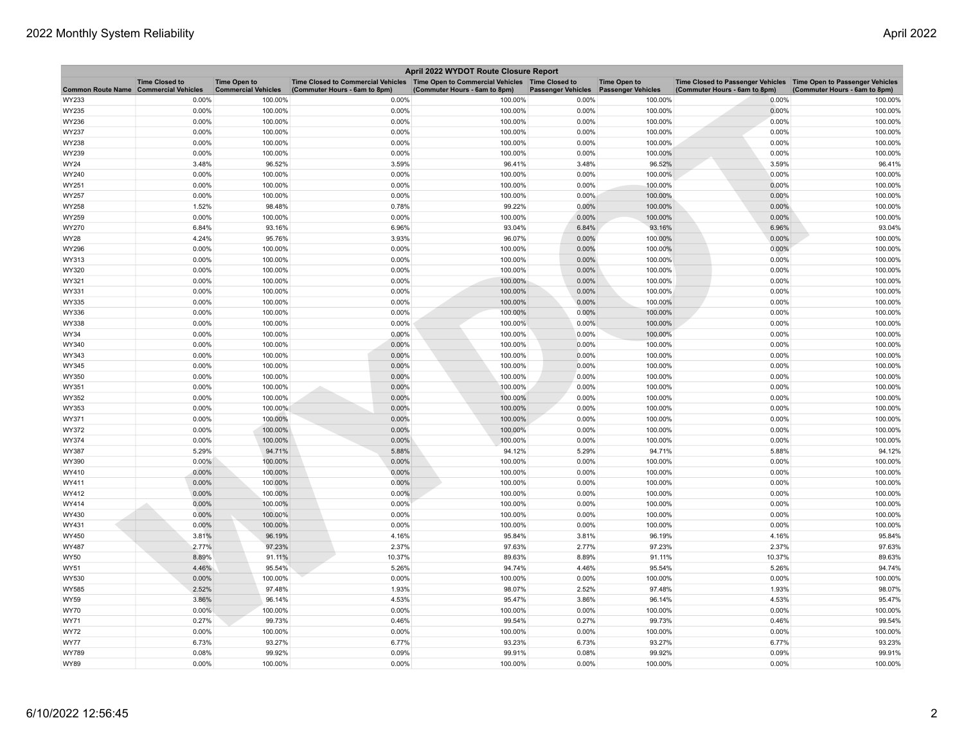| April 2022 WYDOT Route Closure Report |                       |                                                   |                                                                                                                         |                               |                           |                                                  |                                                                                                      |                               |  |
|---------------------------------------|-----------------------|---------------------------------------------------|-------------------------------------------------------------------------------------------------------------------------|-------------------------------|---------------------------|--------------------------------------------------|------------------------------------------------------------------------------------------------------|-------------------------------|--|
| Common Route Name Commercial Vehicles | <b>Time Closed to</b> | <b>Time Open to</b><br><b>Commercial Vehicles</b> | Time Closed to Commercial Vehicles   Time Open to Commercial Vehicles   Time Closed to<br>(Commuter Hours - 6am to 8pm) | (Commuter Hours - 6am to 8pm) | <b>Passenger Vehicles</b> | <b>Time Open to</b><br><b>Passenger Vehicles</b> | Time Closed to Passenger Vehicles   Time Open to Passenger Vehicles<br>(Commuter Hours - 6am to 8pm) | (Commuter Hours - 6am to 8pm) |  |
| WY233                                 | 0.00%                 | 100.00%                                           | 0.00%                                                                                                                   | 100.00%                       | 0.00%                     | 100.00%                                          | 0.00%                                                                                                | 100.00%                       |  |
| WY235                                 | 0.00%                 | 100.00%                                           | 0.00%                                                                                                                   | 100.00%                       | 0.00%                     | 100.00%                                          | 0.00%                                                                                                | 100.00%                       |  |
| WY236                                 | 0.00%                 | 100.00%                                           | 0.00%                                                                                                                   | 100.00%                       | 0.00%                     | 100.00%                                          | 0.00%                                                                                                | 100.00%                       |  |
| WY237                                 | 0.00%                 | 100.00%                                           | 0.00%                                                                                                                   | 100.00%                       | 0.00%                     | 100.00%                                          | 0.00%                                                                                                | 100.00%                       |  |
| WY238                                 | 0.00%                 | 100.00%                                           | 0.00%                                                                                                                   | 100.00%                       | 0.00%                     | 100.00%                                          | 0.00%                                                                                                | 100.00%                       |  |
| WY239                                 | 0.00%                 | 100.00%                                           | 0.00%                                                                                                                   | 100.00%                       | 0.00%                     | 100.00%                                          | 0.00%                                                                                                | 100.00%                       |  |
| WY24                                  | 3.48%                 | 96.52%                                            | 3.59%                                                                                                                   | 96.41%                        | 3.48%                     | 96.52%                                           | 3.59%                                                                                                | 96.41%                        |  |
| WY240                                 | 0.00%                 | 100.00%                                           | 0.00%                                                                                                                   | 100.00%                       | 0.00%                     | 100.00%                                          | 0.00%                                                                                                | 100.00%                       |  |
| WY251                                 | 0.00%                 | 100.00%                                           | 0.00%                                                                                                                   | 100.00%                       | 0.00%                     | 100.00%                                          | 0.00%                                                                                                | 100.00%                       |  |
| WY257                                 | 0.00%                 | 100.00%                                           | 0.00%                                                                                                                   | 100.00%                       | 0.00%                     | 100.00%                                          | 0.00%                                                                                                | 100.00%                       |  |
| WY258                                 | 1.52%                 | 98.48%                                            | 0.78%                                                                                                                   | 99.22%                        | 0.00%                     | 100.00%                                          | 0.00%                                                                                                | 100.00%                       |  |
| WY259                                 | 0.00%                 | 100.00%                                           | 0.00%                                                                                                                   | 100.00%                       | 0.00%                     | 100.00%                                          | 0.00%                                                                                                | 100.00%                       |  |
| WY270                                 | 6.84%                 | 93.16%                                            | 6.96%                                                                                                                   | 93.04%                        | 6.84%                     | 93.16%                                           | 6.96%                                                                                                | 93.04%                        |  |
| <b>WY28</b>                           | 4.24%                 | 95.76%                                            | 3.93%                                                                                                                   | 96.07%                        | 0.00%                     | 100.00%                                          | 0.00%                                                                                                | 100.00%                       |  |
| WY296                                 | 0.00%                 | 100.00%                                           | 0.00%                                                                                                                   | 100.00%                       | 0.00%                     | 100.00%                                          | 0.00%                                                                                                | 100.00%                       |  |
| WY313                                 | 0.00%                 | 100.00%                                           | 0.00%                                                                                                                   | 100.00%                       | 0.00%                     | 100.00%                                          | 0.00%                                                                                                | 100.00%                       |  |
| WY320                                 | 0.00%                 | 100.00%                                           | 0.00%                                                                                                                   | 100.00%                       | 0.00%                     | 100.00%                                          | 0.00%                                                                                                | 100.00%                       |  |
| WY321                                 | 0.00%                 | 100.00%                                           | 0.00%                                                                                                                   | 100.00%                       | 0.00%                     | 100.00%                                          | 0.00%                                                                                                | 100.00%                       |  |
| WY331                                 | 0.00%                 | 100.00%                                           | 0.00%                                                                                                                   | 100.00%                       | 0.00%                     | 100.00%                                          | 0.00%                                                                                                | 100.00%                       |  |
| WY335                                 | 0.00%                 | 100.00%                                           | 0.00%                                                                                                                   | 100.00%                       | 0.00%                     | 100.00%                                          | 0.00%                                                                                                | 100.00%                       |  |
| WY336                                 | 0.00%                 | 100.00%                                           | 0.00%                                                                                                                   | 100.00%                       | 0.00%                     | 100.00%                                          | 0.00%                                                                                                | 100.00%                       |  |
| WY338                                 | 0.00%                 | 100.00%                                           | 0.00%                                                                                                                   | 100.00%                       | 0.00%                     | 100.00%                                          | 0.00%                                                                                                | 100.00%                       |  |
| WY34                                  | 0.00%                 | 100.00%                                           | 0.00%                                                                                                                   | 100.00%                       | 0.00%                     | 100.00%                                          | 0.00%                                                                                                | 100.00%                       |  |
| WY340                                 | 0.00%                 | 100.00%                                           | 0.00%                                                                                                                   | 100.00%                       | 0.00%                     | 100.00%                                          | 0.00%                                                                                                | 100.00%                       |  |
| WY343                                 | 0.00%                 | 100.00%                                           | 0.00%                                                                                                                   | 100.00%                       | 0.00%                     | 100.00%                                          | 0.00%                                                                                                | 100.00%                       |  |
| WY345                                 | 0.00%                 | 100.00%                                           | 0.00%                                                                                                                   | 100.00%                       | 0.00%                     | 100.00%                                          | 0.00%                                                                                                | 100.00%                       |  |
| WY350                                 | 0.00%                 | 100.00%                                           | 0.00%                                                                                                                   | 100.00%                       | 0.00%                     | 100.00%                                          | 0.00%                                                                                                | 100.00%                       |  |
| WY351                                 | 0.00%                 | 100.00%                                           | 0.00%                                                                                                                   | 100.00%                       | 0.00%                     | 100.00%                                          | 0.00%                                                                                                | 100.00%                       |  |
| WY352                                 | 0.00%                 | 100.00%                                           | 0.00%                                                                                                                   | 100.00%                       | 0.00%                     | 100.00%                                          | 0.00%                                                                                                | 100.00%                       |  |
| WY353                                 | 0.00%                 | 100.00%                                           | 0.00%                                                                                                                   | 100.00%                       | 0.00%                     | 100.00%                                          | 0.00%                                                                                                | 100.00%                       |  |
| WY371                                 | 0.00%                 | 100.00%                                           | 0.00%                                                                                                                   | 100.00%                       | 0.00%                     | 100.00%                                          | 0.00%                                                                                                | 100.00%                       |  |
| WY372                                 | 0.00%                 | 100.00%                                           | 0.00%                                                                                                                   | 100.00%                       | 0.00%                     | 100.00%                                          | 0.00%                                                                                                | 100.00%                       |  |
| WY374                                 | 0.00%                 | 100.00%                                           | 0.00%                                                                                                                   | 100.00%                       | 0.00%                     | 100.00%                                          | 0.00%                                                                                                | 100.00%                       |  |
| WY387                                 | 5.29%                 | 94.71%                                            | 5.88%                                                                                                                   | 94.12%                        | 5.29%                     | 94.71%                                           | 5.88%                                                                                                | 94.12%                        |  |
| WY390                                 | $0.00\%$              | 100.00%                                           | 0.00%                                                                                                                   | 100.00%                       | 0.00%                     | 100.00%                                          | 0.00%                                                                                                | 100.00%                       |  |
| WY410                                 | 0.00%                 | 100.00%                                           | 0.00%                                                                                                                   | 100.00%                       | 0.00%                     | 100.00%                                          | 0.00%                                                                                                | 100.00%                       |  |
| WY411                                 | 0.00%                 | 100.00%                                           | 0.00%                                                                                                                   | 100.00%                       | 0.00%                     | 100.00%                                          | 0.00%                                                                                                | 100.00%                       |  |
| WY412                                 | 0.00%                 | 100.00%                                           | 0.00%                                                                                                                   | 100.00%                       | 0.00%                     | 100.00%                                          | 0.00%                                                                                                | 100.00%                       |  |
| WY414                                 | 0.00%                 | 100.00%                                           | 0.00%                                                                                                                   | 100.00%                       | 0.00%                     | 100.00%                                          | 0.00%                                                                                                | 100.00%                       |  |
| WY430                                 | 0.00%                 | 100.00%                                           | 0.00%                                                                                                                   | 100.00%                       | 0.00%                     | 100.00%                                          | 0.00%                                                                                                | 100.00%                       |  |
| WY431                                 | 0.00%                 | 100.00%                                           | 0.00%                                                                                                                   | 100.00%                       | 0.00%                     | 100.00%                                          | 0.00%                                                                                                | 100.00%                       |  |
| WY450                                 | 3.81%                 | 96.19%                                            | 4.16%                                                                                                                   | 95.84%                        | 3.81%                     | 96.19%                                           | 4.16%                                                                                                | 95.84%                        |  |
| WY487                                 | 2.77%                 | 97.23%                                            | 2.37%                                                                                                                   | 97.63%                        | 2.77%                     | 97.23%                                           | 2.37%                                                                                                | 97.63%                        |  |
| <b>WY50</b>                           | 8.89%                 | 91.11%                                            | 10.37%                                                                                                                  | 89.63%                        | 8.89%                     | 91.11%                                           | 10.37%                                                                                               | 89.63%                        |  |
| <b>WY51</b>                           | 4.46%                 | 95.54%                                            | 5.26%                                                                                                                   | 94.74%                        | 4.46%                     | 95.54%                                           | 5.26%                                                                                                | 94.74%                        |  |
| WY530                                 | 0.00%                 | 100.00%                                           | 0.00%                                                                                                                   | 100.00%                       | 0.00%                     | 100.00%                                          | 0.00%                                                                                                | 100.00%                       |  |
| <b>WY585</b>                          | 2.52%                 | 97.48%                                            | 1.93%                                                                                                                   | 98.07%                        | 2.52%                     | 97.48%                                           | 1.93%                                                                                                | 98.07%                        |  |
| <b>WY59</b>                           | 3.86%                 | 96.14%                                            | 4.53%                                                                                                                   | 95.47%                        | 3.86%                     | 96.14%                                           | 4.53%                                                                                                | 95.47%                        |  |
| <b>WY70</b>                           | 0.00%                 | 100.00%                                           | 0.00%                                                                                                                   | 100.00%                       | 0.00%                     | 100.00%                                          | 0.00%                                                                                                | 100.00%                       |  |
| WY71                                  | 0.27%                 | 99.73%                                            | 0.46%                                                                                                                   | 99.54%                        | 0.27%                     | 99.73%                                           | 0.46%                                                                                                | 99.54%                        |  |
| <b>WY72</b>                           | 0.00%                 | 100.00%                                           | 0.00%                                                                                                                   | 100.00%                       | 0.00%                     | 100.00%                                          | 0.00%                                                                                                | 100.00%                       |  |
| <b>WY77</b>                           | 6.73%                 | 93.27%                                            | 6.77%                                                                                                                   | 93.23%                        | 6.73%                     | 93.27%                                           | 6.77%                                                                                                | 93.23%                        |  |
| WY789                                 | 0.08%                 | 99.92%                                            | 0.09%                                                                                                                   | 99.91%                        | 0.08%                     | 99.92%                                           | 0.09%                                                                                                | 99.91%                        |  |
| <b>WY89</b>                           | 0.00%                 | 100.00%                                           | 0.00%                                                                                                                   | 100.00%                       | 0.00%                     | 100.00%                                          | 0.00%                                                                                                | 100.00%                       |  |